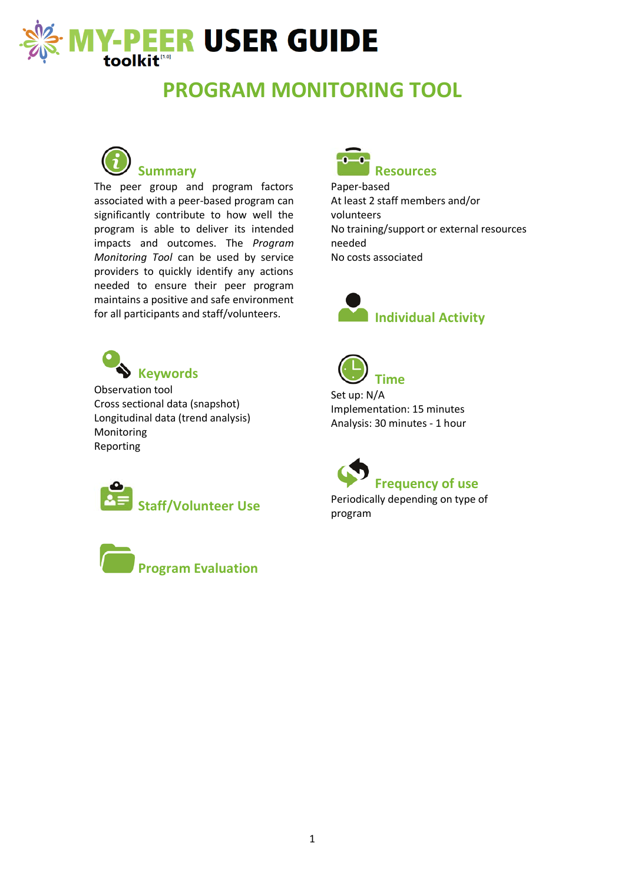

# **PROGRAM MONITORING TOOL**



The peer group and program factors associated with a peer-based program can significantly contribute to how well the program is able to deliver its intended impacts and outcomes. The *Program Monitoring Tool* can be used by service providers to quickly identify any actions needed to ensure their peer program maintains a positive and safe environment for all participants and staff/volunteers.



Paper-based At least 2 staff members and/or volunteers No training/support or external resources needed No costs associated





Observation tool Cross sectional data (snapshot) Longitudinal data (trend analysis) Monitoring Reporting







Set up: N/A Implementation: 15 minutes Analysis: 30 minutes - 1 hour



Periodically depending on type of program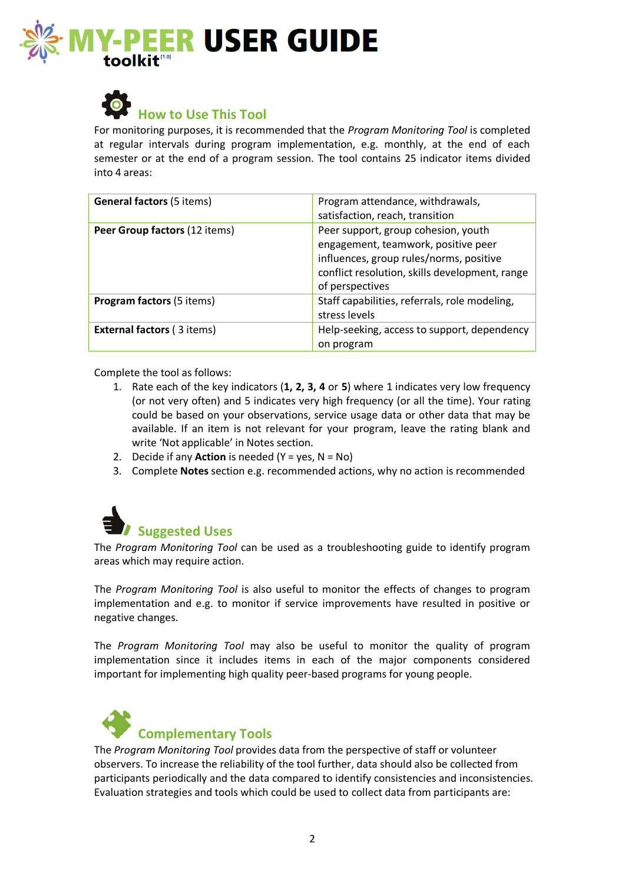



### **How to Use This Tool**

For monitoring purposes, it is recommended that the *Program Monitoring Tool* is completed at regular intervals during program implementation, e.g. monthly, at the end of each semester or at the end of a program session. The tool contains 25 indicator items divided into 4 areas:

| <b>General factors (5 items)</b>  | Program attendance, withdrawals,<br>satisfaction, reach, transition                                                                                                                        |
|-----------------------------------|--------------------------------------------------------------------------------------------------------------------------------------------------------------------------------------------|
| Peer Group factors (12 items)     | Peer support, group cohesion, youth<br>engagement, teamwork, positive peer<br>influences, group rules/norms, positive<br>conflict resolution, skills development, range<br>of perspectives |
| <b>Program factors (5 items)</b>  | Staff capabilities, referrals, role modeling,<br>stress levels                                                                                                                             |
| <b>External factors (3 items)</b> | Help-seeking, access to support, dependency<br>on program                                                                                                                                  |

Complete the tool as follows:

- 1. Rate each of the key indicators (**1, 2, 3, 4** or **5**) where 1 indicates very low frequency (or not very often) and 5 indicates very high frequency (or all the time). Your rating could be based on your observations, service usage data or other data that may be available. If an item is not relevant for your program, leave the rating blank and write 'Not applicable' in Notes section.
- 2. Decide if any **Action** is needed (Y = yes, N = No)
- 3. Complete **Notes** section e.g. recommended actions, why no action is recommended



The *Program Monitoring Tool* can be used as a troubleshooting guide to identify program areas which may require action.

The *Program Monitoring Tool* is also useful to monitor the effects of changes to program implementation and e.g. to monitor if service improvements have resulted in positive or negative changes.

The *Program Monitoring Tool* may also be useful to monitor the quality of program implementation since it includes items in each of the major components considered important for implementing high quality peer-based programs for young people.



The *Program Monitoring Tool* provides data from the perspective of staff or volunteer observers. To increase the reliability of the tool further, data should also be collected from participants periodically and the data compared to identify consistencies and inconsistencies. Evaluation strategies and tools which could be used to collect data from participants are: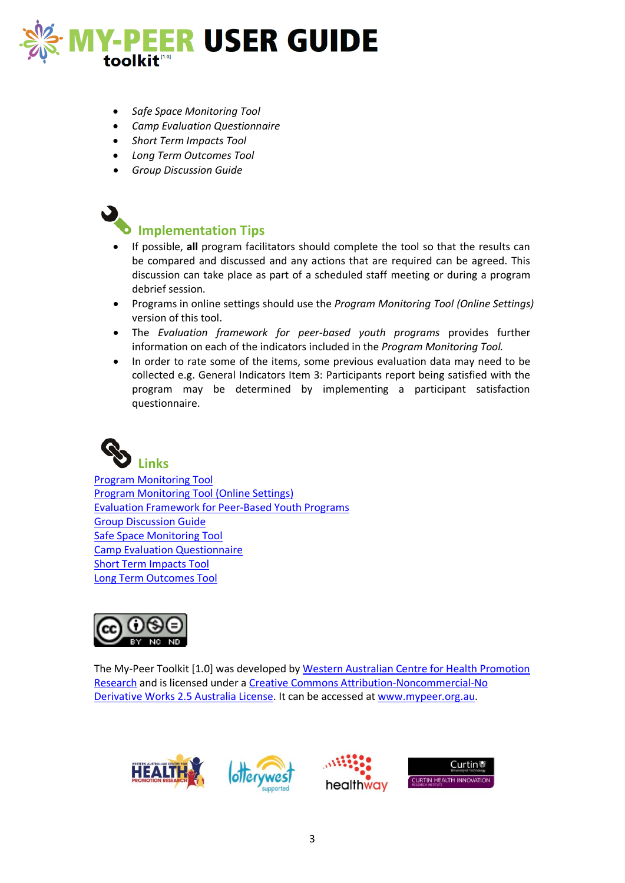

- *Safe Space Monitoring Tool*
- *Camp Evaluation Questionnaire*
- *Short Term Impacts Tool*
- *Long Term Outcomes Tool*
- *Group Discussion Guide*



#### **Implementation Tips**

- If possible, **all** program facilitators should complete the tool so that the results can be compared and discussed and any actions that are required can be agreed. This discussion can take place as part of a scheduled staff meeting or during a program debrief session.
- Programs in online settings should use the *Program Monitoring Tool (Online Settings)* version of this tool.
- The *Evaluation framework for peer-based youth programs* provides further information on each of the indicators included in the *Program Monitoring Tool.*
- In order to rate some of the items, some previous evaluation data may need to be collected e.g. General Indicators Item 3: Participants report being satisfied with the program may be determined by implementing a participant satisfaction questionnaire.



[Program Monitoring Tool](http://www.mypeer.org.au/program-evaluation-tools/program-monitoring-tool-online-settings) Program Monitoring [Tool \(Online Settings\)](http://www.mypeer.org.au/program-evaluation-tools/program-monitoring-tool-online-settings) [Evaluation Framework for Peer-Based Youth Programs](http://www.mypeer.org.au/planning-tools/evaluation-framework) [Group Discussion Guide](http://www.mypeer.org.au/guides/group-discussion-guide) [Safe Space Monitoring Tool](http://www.mypeer.org.au/program-evaluation-tools/safe-space-monitoring-tools-guidelines) [Camp Evaluation Questionnaire](http://www.mypeer.org.au/program-evaluation-tools/camp-evaluation-questionnaire) [Short Term Impacts Tool](http://www.mypeer.org.au/participant-evaluation-tools/short-term-impacts-tool) [Long Term Outcomes Tool](http://www.mypeer.org.au/participant-evaluation-tools/long-term-outcomes-tool)



The My-Peer Toolkit [1.0] was developed b[y Western Australian Centre for Health Promotion](http://wachpr.curtin.edu.au/)  [Research](http://wachpr.curtin.edu.au/) and is licensed under a [Creative Commons Attribution-Noncommercial-No](http://creativecommons.org/licenses/by-nc-nd/2.5/au/)  [Derivative Works 2.5 Australia License.](http://creativecommons.org/licenses/by-nc-nd/2.5/au/) It can be accessed at [www.mypeer.org.au.](http://www.mypeer.org.au/)





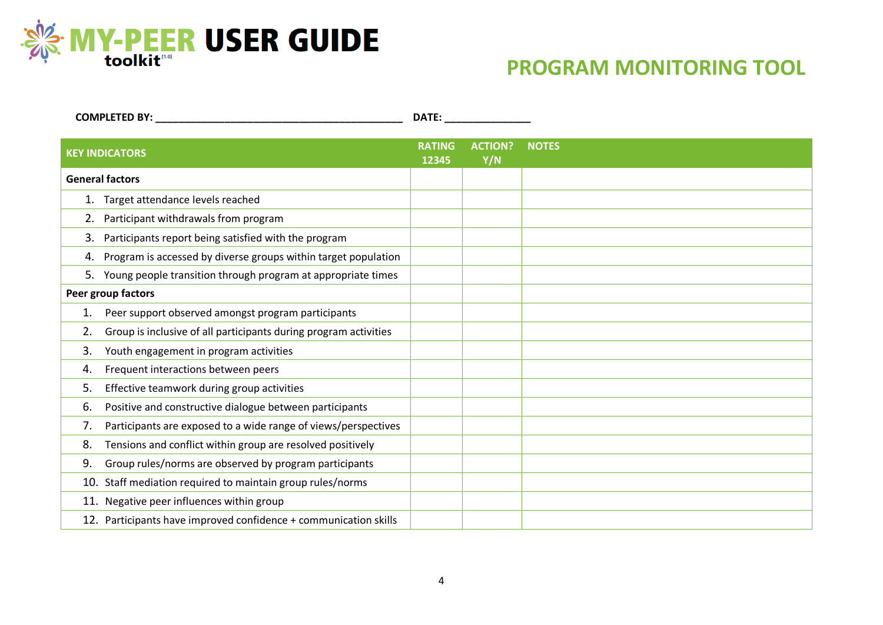

## **PROGRAM MONITORING TOOL**

| <b>COMPLETED BY:</b>   |                                                                  | DATE:                  |                       |              |
|------------------------|------------------------------------------------------------------|------------------------|-----------------------|--------------|
| <b>KEY INDICATORS</b>  |                                                                  | <b>RATING</b><br>12345 | <b>ACTION?</b><br>Y/N | <b>NOTES</b> |
| <b>General factors</b> |                                                                  |                        |                       |              |
|                        | 1. Target attendance levels reached                              |                        |                       |              |
|                        | Participant withdrawals from program                             |                        |                       |              |
| 3.                     | Participants report being satisfied with the program             |                        |                       |              |
| 4.                     | Program is accessed by diverse groups within target population   |                        |                       |              |
|                        | 5. Young people transition through program at appropriate times  |                        |                       |              |
| Peer group factors     |                                                                  |                        |                       |              |
| 1.                     | Peer support observed amongst program participants               |                        |                       |              |
| 2.                     | Group is inclusive of all participants during program activities |                        |                       |              |
| 3.                     | Youth engagement in program activities                           |                        |                       |              |
| 4.                     | Frequent interactions between peers                              |                        |                       |              |
| 5.                     | Effective teamwork during group activities                       |                        |                       |              |
| 6.                     | Positive and constructive dialogue between participants          |                        |                       |              |
| 7.                     | Participants are exposed to a wide range of views/perspectives   |                        |                       |              |
| 8.                     | Tensions and conflict within group are resolved positively       |                        |                       |              |
| 9.                     | Group rules/norms are observed by program participants           |                        |                       |              |
|                        | 10. Staff mediation required to maintain group rules/norms       |                        |                       |              |
|                        | 11. Negative peer influences within group                        |                        |                       |              |
|                        | 12. Participants have improved confidence + communication skills |                        |                       |              |